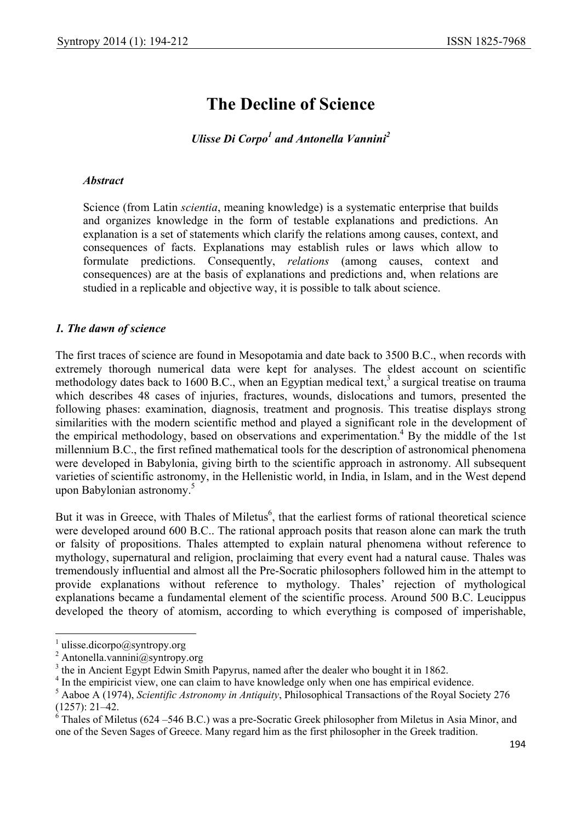# **The Decline of Science**

*Ulisse Di Corpo<sup>1</sup> and Antonella Vannini<sup>2</sup>* 

#### *Abstract*

Science (from Latin *scientia*, meaning knowledge) is a systematic enterprise that builds and organizes knowledge in the form of testable explanations and predictions. An explanation is a set of statements which clarify the relations among causes, context, and consequences of facts. Explanations may establish rules or laws which allow to formulate predictions. Consequently, *relations* (among causes, context and consequences) are at the basis of explanations and predictions and, when relations are studied in a replicable and objective way, it is possible to talk about science.

#### *1. The dawn of science*

The first traces of science are found in Mesopotamia and date back to 3500 B.C., when records with extremely thorough numerical data were kept for analyses. The eldest account on scientific methodology dates back to 1600 B.C., when an Egyptian medical text,<sup>3</sup> a surgical treatise on trauma which describes 48 cases of injuries, fractures, wounds, dislocations and tumors, presented the following phases: examination, diagnosis, treatment and prognosis. This treatise displays strong similarities with the modern scientific method and played a significant role in the development of the empirical methodology, based on observations and experimentation.<sup>4</sup> By the middle of the 1st millennium B.C., the first refined mathematical tools for the description of astronomical phenomena were developed in Babylonia, giving birth to the scientific approach in astronomy. All subsequent varieties of scientific astronomy, in the Hellenistic world, in India, in Islam, and in the West depend upon Babylonian astronomy.<sup>5</sup>

But it was in Greece, with Thales of Miletus<sup>6</sup>, that the earliest forms of rational theoretical science were developed around 600 B.C.. The rational approach posits that reason alone can mark the truth or falsity of propositions. Thales attempted to explain natural phenomena without reference to mythology, supernatural and religion, proclaiming that every event had a natural cause. Thales was tremendously influential and almost all the Pre-Socratic philosophers followed him in the attempt to provide explanations without reference to mythology. Thales' rejection of mythological explanations became a fundamental element of the scientific process. Around 500 B.C. Leucippus developed the theory of atomism, according to which everything is composed of imperishable,

 $\overline{\phantom{a}}$ 

<sup>1</sup> ulisse.dicorpo@syntropy.org

<sup>2</sup> Antonella.vannini@syntropy.org

<sup>3</sup> the in Ancient Egypt Edwin Smith Papyrus, named after the dealer who bought it in 1862.

<sup>4</sup> In the empiricist view, one can claim to have knowledge only when one has empirical evidence.

<sup>5</sup> Aaboe A (1974), *Scientific Astronomy in Antiquity*, Philosophical Transactions of the Royal Society 276 (1257): 21–42.

 $6$  Thales of Miletus (624–546 B.C.) was a pre-Socratic Greek philosopher from Miletus in Asia Minor, and one of the Seven Sages of Greece. Many regard him as the first philosopher in the Greek tradition.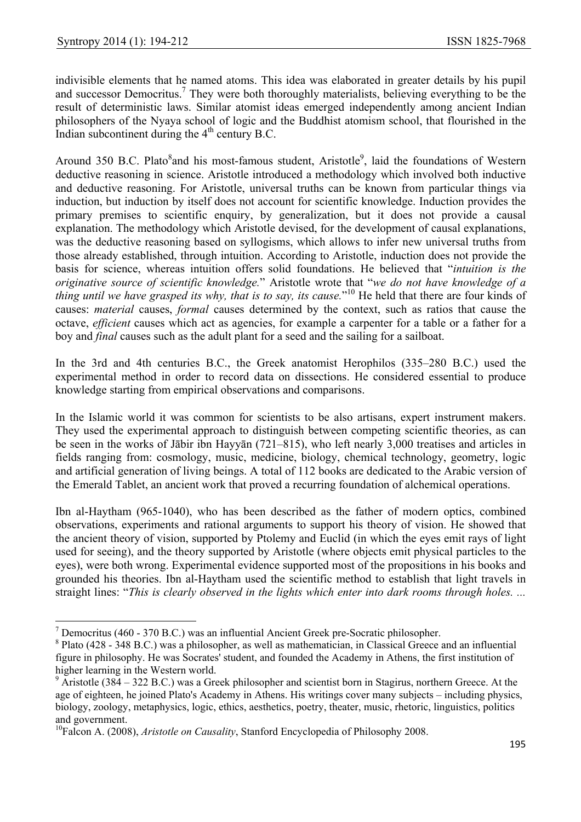indivisible elements that he named atoms. This idea was elaborated in greater details by his pupil and successor Democritus.<sup>7</sup> They were both thoroughly materialists, believing everything to be the result of deterministic laws. Similar atomist ideas emerged independently among ancient Indian philosophers of the Nyaya school of logic and the Buddhist atomism school, that flourished in the Indian subcontinent during the  $4<sup>th</sup>$  century B.C.

Around 350 B.C. Plato<sup>8</sup> and his most-famous student, Aristotle<sup>9</sup>, laid the foundations of Western deductive reasoning in science. Aristotle introduced a methodology which involved both inductive and deductive reasoning. For Aristotle, universal truths can be known from particular things via induction, but induction by itself does not account for scientific knowledge. Induction provides the primary premises to scientific enquiry, by generalization, but it does not provide a causal explanation. The methodology which Aristotle devised, for the development of causal explanations, was the deductive reasoning based on syllogisms, which allows to infer new universal truths from those already established, through intuition. According to Aristotle, induction does not provide the basis for science, whereas intuition offers solid foundations. He believed that "*intuition is the originative source of scientific knowledge.*" Aristotle wrote that "*we do not have knowledge of a thing until we have grasped its why, that is to say, its cause.*" 10 He held that there are four kinds of causes: *material* causes, *formal* causes determined by the context, such as ratios that cause the octave, *efficient* causes which act as agencies, for example a carpenter for a table or a father for a boy and *final* causes such as the adult plant for a seed and the sailing for a sailboat.

In the 3rd and 4th centuries B.C., the Greek anatomist Herophilos (335–280 B.C.) used the experimental method in order to record data on dissections. He considered essential to produce knowledge starting from empirical observations and comparisons.

In the Islamic world it was common for scientists to be also artisans, expert instrument makers. They used the experimental approach to distinguish between competing scientific theories, as can be seen in the works of Jābir ibn Hayyān (721–815), who left nearly 3,000 treatises and articles in fields ranging from: cosmology, music, medicine, biology, chemical technology, geometry, logic and artificial generation of living beings. A total of 112 books are dedicated to the Arabic version of the Emerald Tablet, an ancient work that proved a recurring foundation of alchemical operations.

Ibn al-Haytham (965-1040), who has been described as the father of modern optics, combined observations, experiments and rational arguments to support his theory of vision. He showed that the ancient theory of vision, supported by Ptolemy and Euclid (in which the eyes emit rays of light used for seeing), and the theory supported by Aristotle (where objects emit physical particles to the eyes), were both wrong. Experimental evidence supported most of the propositions in his books and grounded his theories. Ibn al-Haytham used the scientific method to establish that light travels in straight lines: "*This is clearly observed in the lights which enter into dark rooms through holes. ...* 

 $\overline{a}$ 7 Democritus (460 - 370 B.C.) was an influential Ancient Greek pre-Socratic philosopher.

<sup>&</sup>lt;sup>8</sup> Plato (428 - 348 B.C.) was a philosopher, as well as mathematician, in Classical Greece and an influential figure in philosophy. He was Socrates' student, and founded the Academy in Athens, the first institution of higher learning in the Western world.

 $9 \text{ Aristotle } (384 - 322 \text{ B.C.})$  was a Greek philosopher and scientist born in Stagirus, northern Greece. At the age of eighteen, he joined Plato's Academy in Athens. His writings cover many subjects – including physics, biology, zoology, metaphysics, logic, ethics, aesthetics, poetry, theater, music, rhetoric, linguistics, politics and government.

<sup>10</sup>Falcon A. (2008), *Aristotle on Causality*, Stanford Encyclopedia of Philosophy 2008.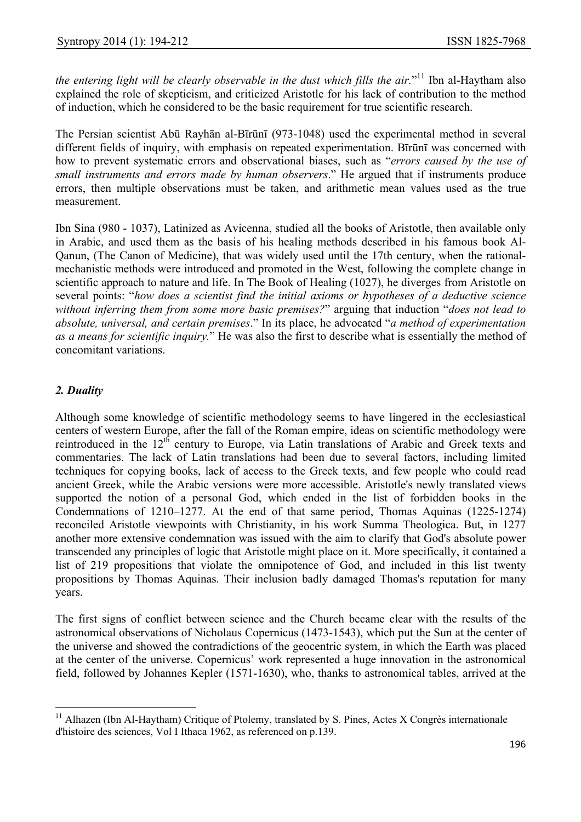the entering light will be clearly observable in the dust which fills the air."<sup>11</sup> Ibn al-Haytham also explained the role of skepticism, and criticized Aristotle for his lack of contribution to the method of induction, which he considered to be the basic requirement for true scientific research.

The Persian scientist Abū Rayhān al-Bīrūnī (973-1048) used the experimental method in several different fields of inquiry, with emphasis on repeated experimentation. Bīrūnī was concerned with how to prevent systematic errors and observational biases, such as "*errors caused by the use of small instruments and errors made by human observers*." He argued that if instruments produce errors, then multiple observations must be taken, and arithmetic mean values used as the true measurement.

Ibn Sina (980 - 1037), Latinized as Avicenna, studied all the books of Aristotle, then available only in Arabic, and used them as the basis of his healing methods described in his famous book Al-Qanun, (The Canon of Medicine), that was widely used until the 17th century, when the rationalmechanistic methods were introduced and promoted in the West, following the complete change in scientific approach to nature and life. In The Book of Healing (1027), he diverges from Aristotle on several points: "*how does a scientist find the initial axioms or hypotheses of a deductive science without inferring them from some more basic premises?*" arguing that induction "*does not lead to absolute, universal, and certain premises*." In its place, he advocated "*a method of experimentation as a means for scientific inquiry.*" He was also the first to describe what is essentially the method of concomitant variations.

### *2. Duality*

 $\overline{\phantom{a}}$ 

Although some knowledge of scientific methodology seems to have lingered in the ecclesiastical centers of western Europe, after the fall of the Roman empire, ideas on scientific methodology were reintroduced in the 12<sup>th</sup> century to Europe, via Latin translations of Arabic and Greek texts and commentaries. The lack of Latin translations had been due to several factors, including limited techniques for copying books, lack of access to the Greek texts, and few people who could read ancient Greek, while the Arabic versions were more accessible. Aristotle's newly translated views supported the notion of a personal God, which ended in the list of forbidden books in the Condemnations of 1210–1277. At the end of that same period, Thomas Aquinas (1225-1274) reconciled Aristotle viewpoints with Christianity, in his work Summa Theologica. But, in 1277 another more extensive condemnation was issued with the aim to clarify that God's absolute power transcended any principles of logic that Aristotle might place on it. More specifically, it contained a list of 219 propositions that violate the omnipotence of God, and included in this list twenty propositions by Thomas Aquinas. Their inclusion badly damaged Thomas's reputation for many years.

The first signs of conflict between science and the Church became clear with the results of the astronomical observations of Nicholaus Copernicus (1473-1543), which put the Sun at the center of the universe and showed the contradictions of the geocentric system, in which the Earth was placed at the center of the universe. Copernicus' work represented a huge innovation in the astronomical field, followed by Johannes Kepler (1571-1630), who, thanks to astronomical tables, arrived at the

<sup>&</sup>lt;sup>11</sup> Alhazen (Ibn Al-Haytham) Critique of Ptolemy, translated by S. Pines, Actes X Congrès internationale d'histoire des sciences, Vol I Ithaca 1962, as referenced on p.139.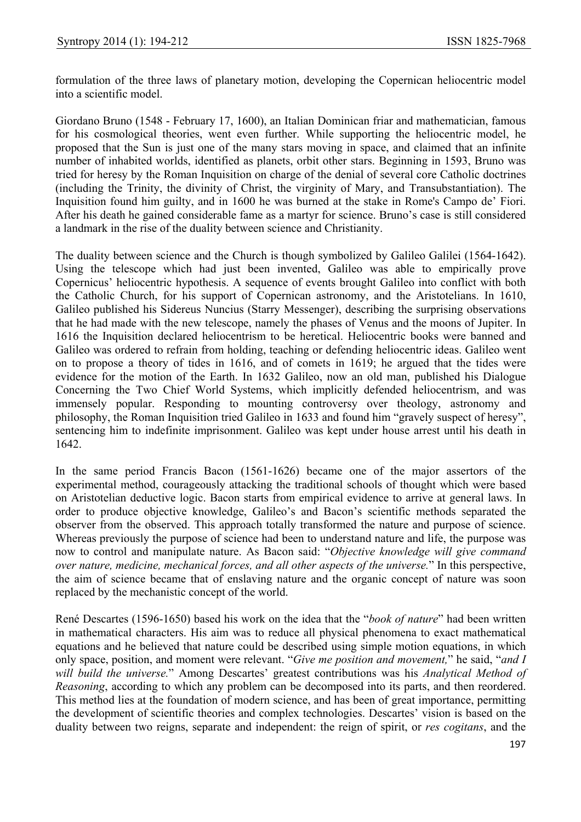formulation of the three laws of planetary motion, developing the Copernican heliocentric model into a scientific model.

Giordano Bruno (1548 - February 17, 1600), an Italian Dominican friar and mathematician, famous for his cosmological theories, went even further. While supporting the heliocentric model, he proposed that the Sun is just one of the many stars moving in space, and claimed that an infinite number of inhabited worlds, identified as planets, orbit other stars. Beginning in 1593, Bruno was tried for heresy by the Roman Inquisition on charge of the denial of several core Catholic doctrines (including the Trinity, the divinity of Christ, the virginity of Mary, and Transubstantiation). The Inquisition found him guilty, and in 1600 he was burned at the stake in Rome's Campo de' Fiori. After his death he gained considerable fame as a martyr for science. Bruno's case is still considered a landmark in the rise of the duality between science and Christianity.

The duality between science and the Church is though symbolized by Galileo Galilei (1564-1642). Using the telescope which had just been invented, Galileo was able to empirically prove Copernicus' heliocentric hypothesis. A sequence of events brought Galileo into conflict with both the Catholic Church, for his support of Copernican astronomy, and the Aristotelians. In 1610, Galileo published his Sidereus Nuncius (Starry Messenger), describing the surprising observations that he had made with the new telescope, namely the phases of Venus and the moons of Jupiter. In 1616 the Inquisition declared heliocentrism to be heretical. Heliocentric books were banned and Galileo was ordered to refrain from holding, teaching or defending heliocentric ideas. Galileo went on to propose a theory of tides in 1616, and of comets in 1619; he argued that the tides were evidence for the motion of the Earth. In 1632 Galileo, now an old man, published his Dialogue Concerning the Two Chief World Systems, which implicitly defended heliocentrism, and was immensely popular. Responding to mounting controversy over theology, astronomy and philosophy, the Roman Inquisition tried Galileo in 1633 and found him "gravely suspect of heresy", sentencing him to indefinite imprisonment. Galileo was kept under house arrest until his death in 1642.

In the same period Francis Bacon (1561-1626) became one of the major assertors of the experimental method, courageously attacking the traditional schools of thought which were based on Aristotelian deductive logic. Bacon starts from empirical evidence to arrive at general laws. In order to produce objective knowledge, Galileo's and Bacon's scientific methods separated the observer from the observed. This approach totally transformed the nature and purpose of science. Whereas previously the purpose of science had been to understand nature and life, the purpose was now to control and manipulate nature. As Bacon said: "*Objective knowledge will give command over nature, medicine, mechanical forces, and all other aspects of the universe.*" In this perspective, the aim of science became that of enslaving nature and the organic concept of nature was soon replaced by the mechanistic concept of the world.

René Descartes (1596-1650) based his work on the idea that the "*book of nature*" had been written in mathematical characters. His aim was to reduce all physical phenomena to exact mathematical equations and he believed that nature could be described using simple motion equations, in which only space, position, and moment were relevant. "*Give me position and movement,*" he said, "*and I will build the universe.*" Among Descartes' greatest contributions was his *Analytical Method of Reasoning*, according to which any problem can be decomposed into its parts, and then reordered. This method lies at the foundation of modern science, and has been of great importance, permitting the development of scientific theories and complex technologies. Descartes' vision is based on the duality between two reigns, separate and independent: the reign of spirit, or *res cogitans*, and the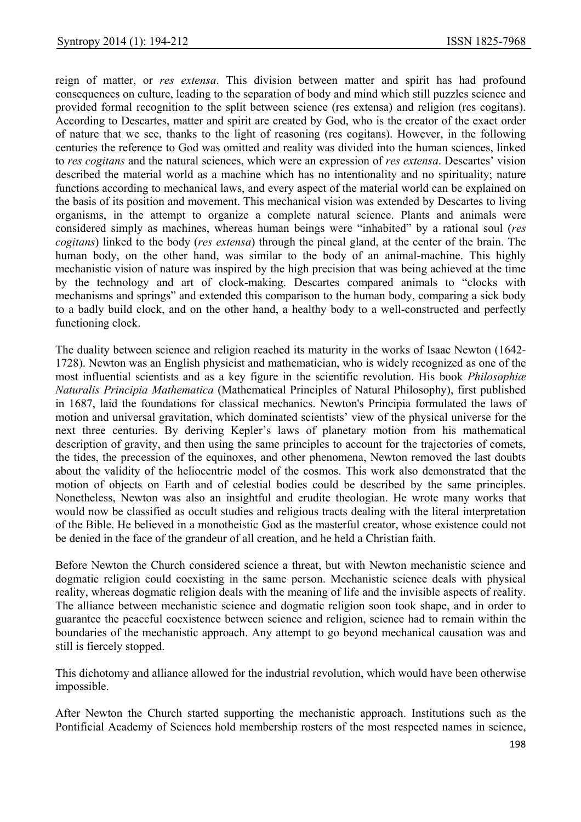reign of matter, or *res extensa*. This division between matter and spirit has had profound consequences on culture, leading to the separation of body and mind which still puzzles science and provided formal recognition to the split between science (res extensa) and religion (res cogitans). According to Descartes, matter and spirit are created by God, who is the creator of the exact order of nature that we see, thanks to the light of reasoning (res cogitans). However, in the following centuries the reference to God was omitted and reality was divided into the human sciences, linked to *res cogitans* and the natural sciences, which were an expression of *res extensa*. Descartes' vision described the material world as a machine which has no intentionality and no spirituality; nature functions according to mechanical laws, and every aspect of the material world can be explained on the basis of its position and movement. This mechanical vision was extended by Descartes to living organisms, in the attempt to organize a complete natural science. Plants and animals were considered simply as machines, whereas human beings were "inhabited" by a rational soul (*res cogitans*) linked to the body (*res extensa*) through the pineal gland, at the center of the brain. The human body, on the other hand, was similar to the body of an animal-machine. This highly mechanistic vision of nature was inspired by the high precision that was being achieved at the time by the technology and art of clock-making. Descartes compared animals to "clocks with mechanisms and springs" and extended this comparison to the human body, comparing a sick body to a badly build clock, and on the other hand, a healthy body to a well-constructed and perfectly functioning clock.

The duality between science and religion reached its maturity in the works of Isaac Newton (1642- 1728). Newton was an English physicist and mathematician, who is widely recognized as one of the most influential scientists and as a key figure in the scientific revolution. His book *Philosophiæ Naturalis Principia Mathematica* (Mathematical Principles of Natural Philosophy), first published in 1687, laid the foundations for classical mechanics. Newton's Principia formulated the laws of motion and universal gravitation, which dominated scientists' view of the physical universe for the next three centuries. By deriving Kepler's laws of planetary motion from his mathematical description of gravity, and then using the same principles to account for the trajectories of comets, the tides, the precession of the equinoxes, and other phenomena, Newton removed the last doubts about the validity of the heliocentric model of the cosmos. This work also demonstrated that the motion of objects on Earth and of celestial bodies could be described by the same principles. Nonetheless, Newton was also an insightful and erudite theologian. He wrote many works that would now be classified as occult studies and religious tracts dealing with the literal interpretation of the Bible. He believed in a monotheistic God as the masterful creator, whose existence could not be denied in the face of the grandeur of all creation, and he held a Christian faith.

Before Newton the Church considered science a threat, but with Newton mechanistic science and dogmatic religion could coexisting in the same person. Mechanistic science deals with physical reality, whereas dogmatic religion deals with the meaning of life and the invisible aspects of reality. The alliance between mechanistic science and dogmatic religion soon took shape, and in order to guarantee the peaceful coexistence between science and religion, science had to remain within the boundaries of the mechanistic approach. Any attempt to go beyond mechanical causation was and still is fiercely stopped.

This dichotomy and alliance allowed for the industrial revolution, which would have been otherwise impossible.

After Newton the Church started supporting the mechanistic approach. Institutions such as the Pontificial Academy of Sciences hold membership rosters of the most respected names in science,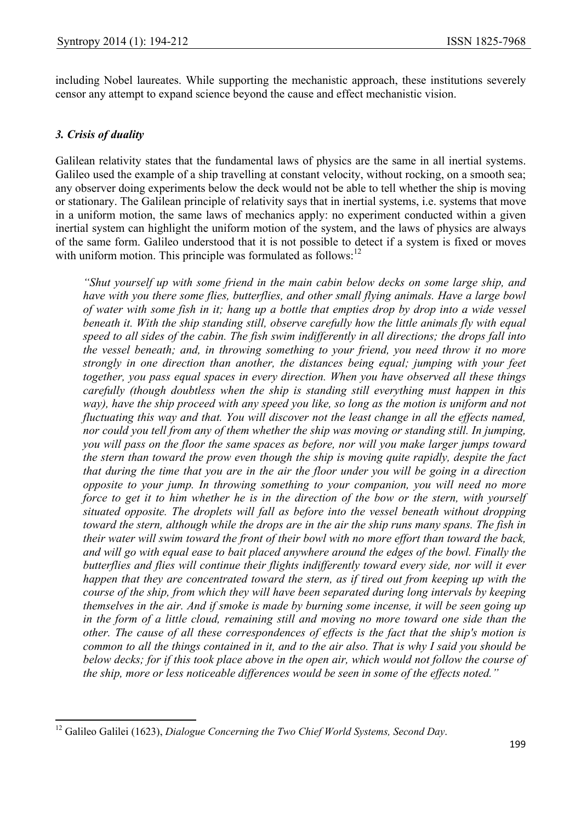including Nobel laureates. While supporting the mechanistic approach, these institutions severely censor any attempt to expand science beyond the cause and effect mechanistic vision.

#### *3. Crisis of duality*

 $\overline{a}$ 

Galilean relativity states that the fundamental laws of physics are the same in all inertial systems. Galileo used the example of a ship travelling at constant velocity, without rocking, on a smooth sea; any observer doing experiments below the deck would not be able to tell whether the ship is moving or stationary. The Galilean principle of relativity says that in inertial systems, i.e. systems that move in a uniform motion, the same laws of mechanics apply: no experiment conducted within a given inertial system can highlight the uniform motion of the system, and the laws of physics are always of the same form. Galileo understood that it is not possible to detect if a system is fixed or moves with uniform motion. This principle was formulated as follows: $12$ 

*"Shut yourself up with some friend in the main cabin below decks on some large ship, and have with you there some flies, butterflies, and other small flying animals. Have a large bowl of water with some fish in it; hang up a bottle that empties drop by drop into a wide vessel beneath it. With the ship standing still, observe carefully how the little animals fly with equal speed to all sides of the cabin. The fish swim indifferently in all directions; the drops fall into the vessel beneath; and, in throwing something to your friend, you need throw it no more strongly in one direction than another, the distances being equal; jumping with your feet together, you pass equal spaces in every direction. When you have observed all these things carefully (though doubtless when the ship is standing still everything must happen in this way), have the ship proceed with any speed you like, so long as the motion is uniform and not fluctuating this way and that. You will discover not the least change in all the effects named, nor could you tell from any of them whether the ship was moving or standing still. In jumping, you will pass on the floor the same spaces as before, nor will you make larger jumps toward the stern than toward the prow even though the ship is moving quite rapidly, despite the fact that during the time that you are in the air the floor under you will be going in a direction opposite to your jump. In throwing something to your companion, you will need no more force to get it to him whether he is in the direction of the bow or the stern, with yourself situated opposite. The droplets will fall as before into the vessel beneath without dropping toward the stern, although while the drops are in the air the ship runs many spans. The fish in their water will swim toward the front of their bowl with no more effort than toward the back, and will go with equal ease to bait placed anywhere around the edges of the bowl. Finally the butterflies and flies will continue their flights indifferently toward every side, nor will it ever happen that they are concentrated toward the stern, as if tired out from keeping up with the course of the ship, from which they will have been separated during long intervals by keeping themselves in the air. And if smoke is made by burning some incense, it will be seen going up in the form of a little cloud, remaining still and moving no more toward one side than the other. The cause of all these correspondences of effects is the fact that the ship's motion is common to all the things contained in it, and to the air also. That is why I said you should be*  below decks; for if this took place above in the open air, which would not follow the course of *the ship, more or less noticeable differences would be seen in some of the effects noted."*

<sup>12</sup> Galileo Galilei (1623), *Dialogue Concerning the Two Chief World Systems, Second Day*.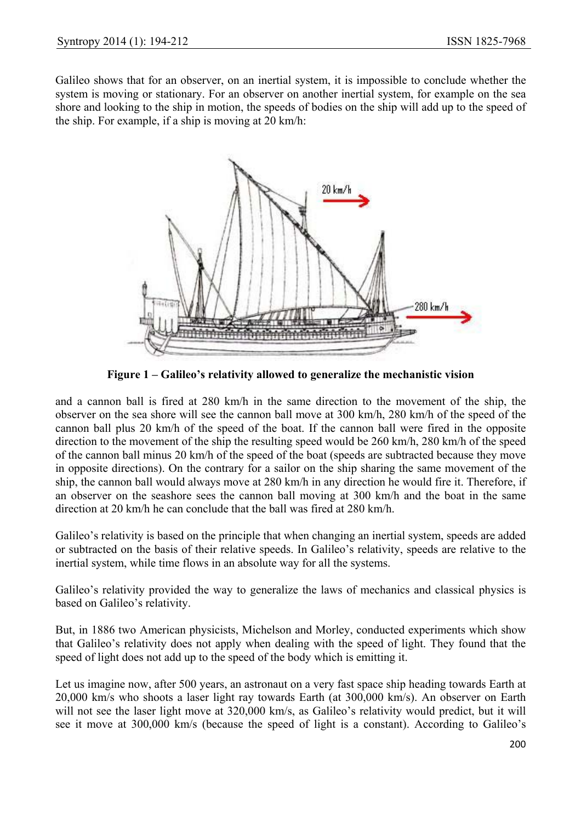Galileo shows that for an observer, on an inertial system, it is impossible to conclude whether the system is moving or stationary. For an observer on another inertial system, for example on the sea shore and looking to the ship in motion, the speeds of bodies on the ship will add up to the speed of the ship. For example, if a ship is moving at 20 km/h:



**Figure 1 – Galileo's relativity allowed to generalize the mechanistic vision** 

and a cannon ball is fired at 280 km/h in the same direction to the movement of the ship, the observer on the sea shore will see the cannon ball move at 300 km/h, 280 km/h of the speed of the cannon ball plus 20 km/h of the speed of the boat. If the cannon ball were fired in the opposite direction to the movement of the ship the resulting speed would be 260 km/h, 280 km/h of the speed of the cannon ball minus 20 km/h of the speed of the boat (speeds are subtracted because they move in opposite directions). On the contrary for a sailor on the ship sharing the same movement of the ship, the cannon ball would always move at 280 km/h in any direction he would fire it. Therefore, if an observer on the seashore sees the cannon ball moving at 300 km/h and the boat in the same direction at 20 km/h he can conclude that the ball was fired at 280 km/h.

Galileo's relativity is based on the principle that when changing an inertial system, speeds are added or subtracted on the basis of their relative speeds. In Galileo's relativity, speeds are relative to the inertial system, while time flows in an absolute way for all the systems.

Galileo's relativity provided the way to generalize the laws of mechanics and classical physics is based on Galileo's relativity.

But, in 1886 two American physicists, Michelson and Morley, conducted experiments which show that Galileo's relativity does not apply when dealing with the speed of light. They found that the speed of light does not add up to the speed of the body which is emitting it.

Let us imagine now, after 500 years, an astronaut on a very fast space ship heading towards Earth at 20,000 km/s who shoots a laser light ray towards Earth (at 300,000 km/s). An observer on Earth will not see the laser light move at 320,000 km/s, as Galileo's relativity would predict, but it will see it move at 300,000 km/s (because the speed of light is a constant). According to Galileo's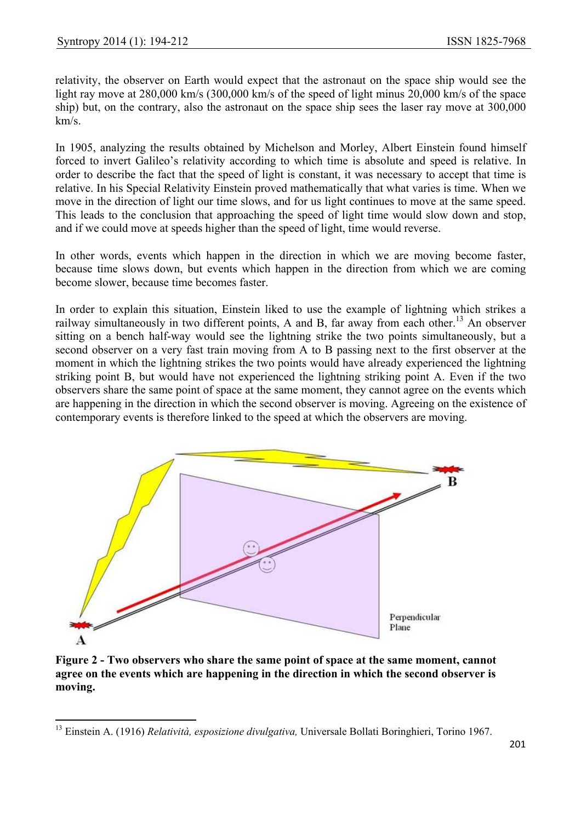relativity, the observer on Earth would expect that the astronaut on the space ship would see the light ray move at 280,000 km/s (300,000 km/s of the speed of light minus 20,000 km/s of the space ship) but, on the contrary, also the astronaut on the space ship sees the laser ray move at 300,000 km/s.

In 1905, analyzing the results obtained by Michelson and Morley, Albert Einstein found himself forced to invert Galileo's relativity according to which time is absolute and speed is relative. In order to describe the fact that the speed of light is constant, it was necessary to accept that time is relative. In his Special Relativity Einstein proved mathematically that what varies is time. When we move in the direction of light our time slows, and for us light continues to move at the same speed. This leads to the conclusion that approaching the speed of light time would slow down and stop, and if we could move at speeds higher than the speed of light, time would reverse.

In other words, events which happen in the direction in which we are moving become faster, because time slows down, but events which happen in the direction from which we are coming become slower, because time becomes faster.

In order to explain this situation, Einstein liked to use the example of lightning which strikes a railway simultaneously in two different points, A and B, far away from each other.<sup>13</sup> An observer sitting on a bench half-way would see the lightning strike the two points simultaneously, but a second observer on a very fast train moving from A to B passing next to the first observer at the moment in which the lightning strikes the two points would have already experienced the lightning striking point B, but would have not experienced the lightning striking point A. Even if the two observers share the same point of space at the same moment, they cannot agree on the events which are happening in the direction in which the second observer is moving. Agreeing on the existence of contemporary events is therefore linked to the speed at which the observers are moving.



**Figure 2 - Two observers who share the same point of space at the same moment, cannot agree on the events which are happening in the direction in which the second observer is moving.** 

 $\overline{a}$ 13 Einstein A. (1916) *Relatività, esposizione divulgativa,* Universale Bollati Boringhieri, Torino 1967.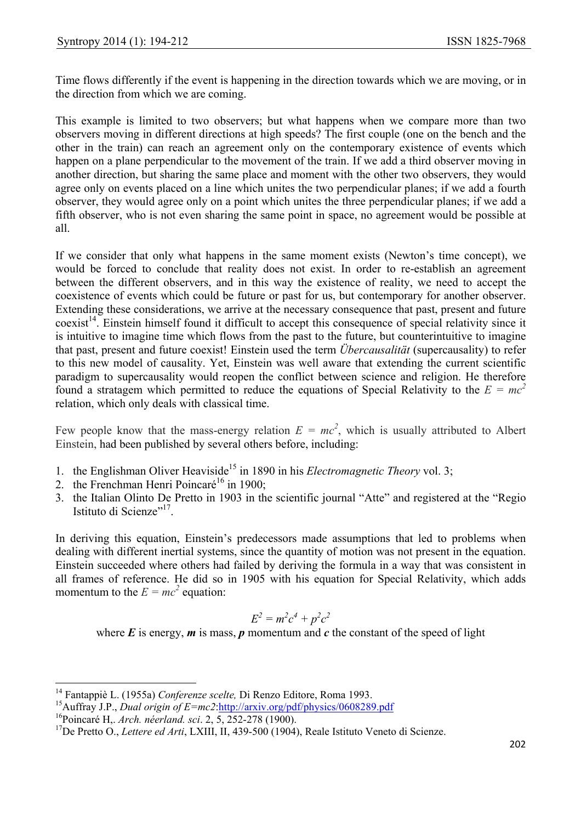Time flows differently if the event is happening in the direction towards which we are moving, or in the direction from which we are coming.

This example is limited to two observers; but what happens when we compare more than two observers moving in different directions at high speeds? The first couple (one on the bench and the other in the train) can reach an agreement only on the contemporary existence of events which happen on a plane perpendicular to the movement of the train. If we add a third observer moving in another direction, but sharing the same place and moment with the other two observers, they would agree only on events placed on a line which unites the two perpendicular planes; if we add a fourth observer, they would agree only on a point which unites the three perpendicular planes; if we add a fifth observer, who is not even sharing the same point in space, no agreement would be possible at all.

If we consider that only what happens in the same moment exists (Newton's time concept), we would be forced to conclude that reality does not exist. In order to re-establish an agreement between the different observers, and in this way the existence of reality, we need to accept the coexistence of events which could be future or past for us, but contemporary for another observer. Extending these considerations, we arrive at the necessary consequence that past, present and future coexist<sup>14</sup>. Einstein himself found it difficult to accept this consequence of special relativity since it is intuitive to imagine time which flows from the past to the future, but counterintuitive to imagine that past, present and future coexist! Einstein used the term *Übercausalität* (supercausality) to refer to this new model of causality. Yet, Einstein was well aware that extending the current scientific paradigm to supercausality would reopen the conflict between science and religion. He therefore found a stratagem which permitted to reduce the equations of Special Relativity to the  $E = mc^2$ relation, which only deals with classical time.

Few people know that the mass-energy relation  $E = mc^2$ , which is usually attributed to Albert Einstein, had been published by several others before, including:

- 1. the Englishman Oliver Heaviside<sup>15</sup> in 1890 in his *Electromagnetic Theory* vol. 3;
- 2. the Frenchman Henri Poincaré<sup>16</sup> in 1900;
- 3. the Italian Olinto De Pretto in 1903 in the scientific journal "Atte" and registered at the "Regio Istituto di Scienze"<sup>17</sup>.

In deriving this equation, Einstein's predecessors made assumptions that led to problems when dealing with different inertial systems, since the quantity of motion was not present in the equation. Einstein succeeded where others had failed by deriving the formula in a way that was consistent in all frames of reference. He did so in 1905 with his equation for Special Relativity, which adds momentum to the  $E = mc^2$  equation:

$$
E^2 = m^2c^4 + p^2c^2
$$

where  $E$  is energy,  $m$  is mass,  $p$  momentum and  $c$  the constant of the speed of light

 $\overline{a}$ 

<sup>14</sup> Fantappiè L. (1955a) *Conferenze scelte,* Di Renzo Editore, Roma 1993.

<sup>15</sup>Auffray J.P., *Dual origin of E=mc2*:http://arxiv.org/pdf/physics/0608289.pdf

<sup>16</sup>Poincaré H,. *Arch. néerland. sci*. 2, 5, 252-278 (1900).

<sup>&</sup>lt;sup>17</sup>De Pretto O., *Lettere ed Arti*, LXIII, II, 439-500 (1904), Reale Istituto Veneto di Scienze.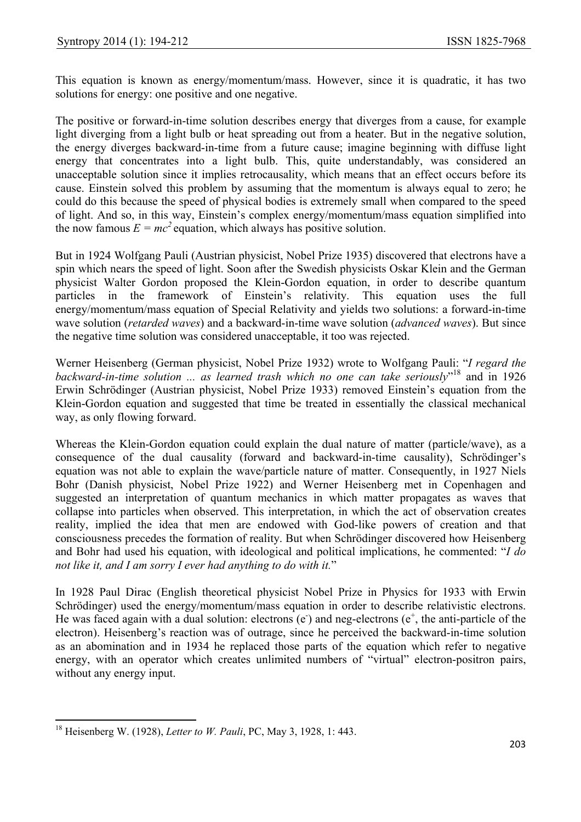This equation is known as energy/momentum/mass. However, since it is quadratic, it has two solutions for energy: one positive and one negative.

The positive or forward-in-time solution describes energy that diverges from a cause, for example light diverging from a light bulb or heat spreading out from a heater. But in the negative solution, the energy diverges backward-in-time from a future cause; imagine beginning with diffuse light energy that concentrates into a light bulb. This, quite understandably, was considered an unacceptable solution since it implies retrocausality, which means that an effect occurs before its cause. Einstein solved this problem by assuming that the momentum is always equal to zero; he could do this because the speed of physical bodies is extremely small when compared to the speed of light. And so, in this way, Einstein's complex energy/momentum/mass equation simplified into the now famous  $E = mc^2$  equation, which always has positive solution.

But in 1924 Wolfgang Pauli (Austrian physicist, Nobel Prize 1935) discovered that electrons have a spin which nears the speed of light. Soon after the Swedish physicists Oskar Klein and the German physicist Walter Gordon proposed the Klein-Gordon equation, in order to describe quantum particles in the framework of Einstein's relativity. This equation uses the full energy/momentum/mass equation of Special Relativity and yields two solutions: a forward-in-time wave solution (*retarded waves*) and a backward-in-time wave solution (*advanced waves*). But since the negative time solution was considered unacceptable, it too was rejected.

Werner Heisenberg (German physicist, Nobel Prize 1932) wrote to Wolfgang Pauli: "*I regard the backward-in-time solution ... as learned trash which no one can take seriously*" 18 and in 1926 Erwin Schrödinger (Austrian physicist, Nobel Prize 1933) removed Einstein's equation from the Klein-Gordon equation and suggested that time be treated in essentially the classical mechanical way, as only flowing forward.

Whereas the Klein-Gordon equation could explain the dual nature of matter (particle/wave), as a consequence of the dual causality (forward and backward-in-time causality), Schrödinger's equation was not able to explain the wave/particle nature of matter. Consequently, in 1927 Niels Bohr (Danish physicist, Nobel Prize 1922) and Werner Heisenberg met in Copenhagen and suggested an interpretation of quantum mechanics in which matter propagates as waves that collapse into particles when observed. This interpretation, in which the act of observation creates reality, implied the idea that men are endowed with God-like powers of creation and that consciousness precedes the formation of reality. But when Schrödinger discovered how Heisenberg and Bohr had used his equation, with ideological and political implications, he commented: "*I do not like it, and I am sorry I ever had anything to do with it.*"

In 1928 Paul Dirac (English theoretical physicist Nobel Prize in Physics for 1933 with Erwin Schrödinger) used the energy/momentum/mass equation in order to describe relativistic electrons. He was faced again with a dual solution: electrons  $(e<sup>+</sup>)$  and neg-electrons  $(e<sup>+</sup>)$ , the anti-particle of the electron). Heisenberg's reaction was of outrage, since he perceived the backward-in-time solution as an abomination and in 1934 he replaced those parts of the equation which refer to negative energy, with an operator which creates unlimited numbers of "virtual" electron-positron pairs, without any energy input.

 $\overline{a}$ 18 Heisenberg W. (1928), *Letter to W. Pauli*, PC, May 3, 1928, 1: 443.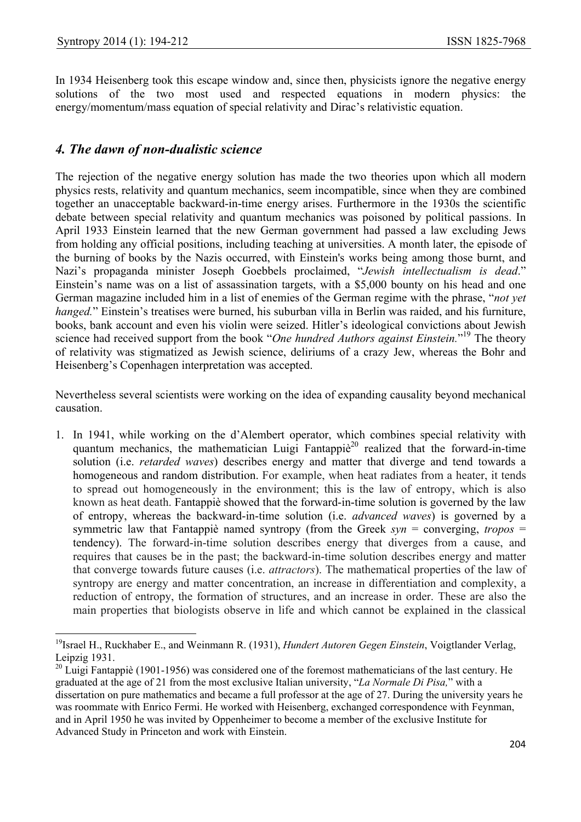$\overline{\phantom{a}}$ 

In 1934 Heisenberg took this escape window and, since then, physicists ignore the negative energy solutions of the two most used and respected equations in modern physics: the energy/momentum/mass equation of special relativity and Dirac's relativistic equation.

## *4. The dawn of non-dualistic science*

The rejection of the negative energy solution has made the two theories upon which all modern physics rests, relativity and quantum mechanics, seem incompatible, since when they are combined together an unacceptable backward-in-time energy arises. Furthermore in the 1930s the scientific debate between special relativity and quantum mechanics was poisoned by political passions. In April 1933 Einstein learned that the new German government had passed a law excluding Jews from holding any official positions, including teaching at universities. A month later, the episode of the burning of books by the Nazis occurred, with Einstein's works being among those burnt, and Nazi's propaganda minister Joseph Goebbels proclaimed, "*Jewish intellectualism is dead*." Einstein's name was on a list of assassination targets, with a \$5,000 bounty on his head and one German magazine included him in a list of enemies of the German regime with the phrase, "*not yet hanged.*" Einstein's treatises were burned, his suburban villa in Berlin was raided, and his furniture, books, bank account and even his violin were seized. Hitler's ideological convictions about Jewish science had received support from the book "One hundred Authors against Einstein."<sup>19</sup> The theory of relativity was stigmatized as Jewish science, deliriums of a crazy Jew, whereas the Bohr and Heisenberg's Copenhagen interpretation was accepted.

Nevertheless several scientists were working on the idea of expanding causality beyond mechanical causation.

1. In 1941, while working on the d'Alembert operator, which combines special relativity with quantum mechanics, the mathematician Luigi Fantappie<sup>20</sup> realized that the forward-in-time solution (i.e. *retarded waves*) describes energy and matter that diverge and tend towards a homogeneous and random distribution. For example, when heat radiates from a heater, it tends to spread out homogeneously in the environment; this is the law of entropy, which is also known as heat death. Fantappiè showed that the forward-in-time solution is governed by the law of entropy, whereas the backward-in-time solution (i.e. *advanced waves*) is governed by a symmetric law that Fantappiè named syntropy (from the Greek *syn* = converging, *tropos* = tendency). The forward-in-time solution describes energy that diverges from a cause, and requires that causes be in the past; the backward-in-time solution describes energy and matter that converge towards future causes (i.e. *attractors*). The mathematical properties of the law of syntropy are energy and matter concentration, an increase in differentiation and complexity, a reduction of entropy, the formation of structures, and an increase in order. These are also the main properties that biologists observe in life and which cannot be explained in the classical

<sup>&</sup>lt;sup>19</sup>Israel H., Ruckhaber E., and Weinmann R. (1931), *Hundert Autoren Gegen Einstein*, Voigtlander Verlag, Leipzig 1931.

 $20$  Luigi Fantappiè (1901-1956) was considered one of the foremost mathematicians of the last century. He graduated at the age of 21 from the most exclusive Italian university, "*La Normale Di Pisa,*" with a dissertation on pure mathematics and became a full professor at the age of 27. During the university years he was roommate with Enrico Fermi. He worked with Heisenberg, exchanged correspondence with Feynman, and in April 1950 he was invited by Oppenheimer to become a member of the exclusive Institute for Advanced Study in Princeton and work with Einstein.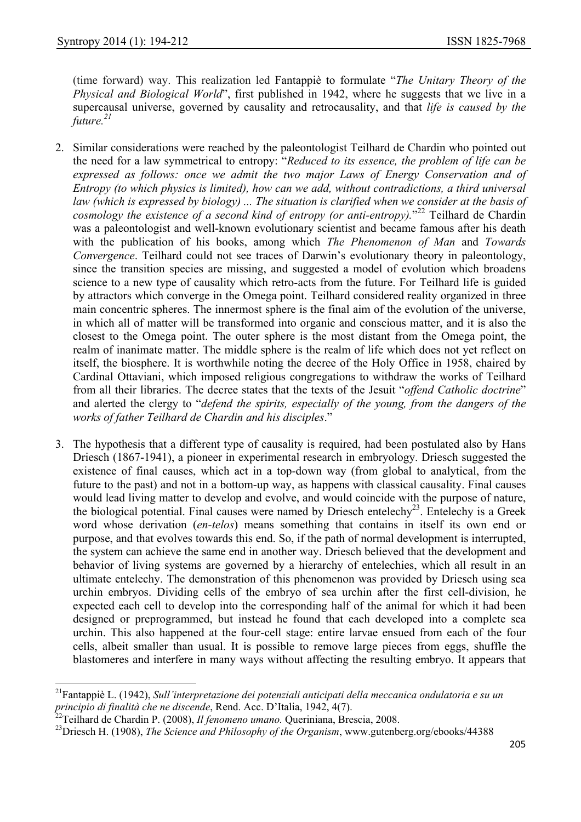(time forward) way. This realization led Fantappiè to formulate "*The Unitary Theory of the Physical and Biological World*", first published in 1942, where he suggests that we live in a supercausal universe, governed by causality and retrocausality, and that *life is caused by the future.21*

- 2. Similar considerations were reached by the paleontologist Teilhard de Chardin who pointed out the need for a law symmetrical to entropy: "*Reduced to its essence, the problem of life can be expressed as follows: once we admit the two major Laws of Energy Conservation and of Entropy (to which physics is limited), how can we add, without contradictions, a third universal law (which is expressed by biology) ... The situation is clarified when we consider at the basis of cosmology the existence of a second kind of entropy (or anti-entropy).*" 22 Teilhard de Chardin was a paleontologist and well-known evolutionary scientist and became famous after his death with the publication of his books, among which *The Phenomenon of Man* and *Towards Convergence*. Teilhard could not see traces of Darwin's evolutionary theory in paleontology, since the transition species are missing, and suggested a model of evolution which broadens science to a new type of causality which retro-acts from the future. For Teilhard life is guided by attractors which converge in the Omega point. Teilhard considered reality organized in three main concentric spheres. The innermost sphere is the final aim of the evolution of the universe, in which all of matter will be transformed into organic and conscious matter, and it is also the closest to the Omega point. The outer sphere is the most distant from the Omega point, the realm of inanimate matter. The middle sphere is the realm of life which does not yet reflect on itself, the biosphere. It is worthwhile noting the decree of the Holy Office in 1958, chaired by Cardinal Ottaviani, which imposed religious congregations to withdraw the works of Teilhard from all their libraries. The decree states that the texts of the Jesuit "*offend Catholic doctrine*" and alerted the clergy to "*defend the spirits, especially of the young, from the dangers of the works of father Teilhard de Chardin and his disciples*."
- 3. The hypothesis that a different type of causality is required, had been postulated also by Hans Driesch (1867-1941), a pioneer in experimental research in embryology. Driesch suggested the existence of final causes, which act in a top-down way (from global to analytical, from the future to the past) and not in a bottom-up way, as happens with classical causality. Final causes would lead living matter to develop and evolve, and would coincide with the purpose of nature, the biological potential. Final causes were named by Driesch entelechy<sup>23</sup>. Entelechy is a Greek word whose derivation (*en-telos*) means something that contains in itself its own end or purpose, and that evolves towards this end. So, if the path of normal development is interrupted, the system can achieve the same end in another way. Driesch believed that the development and behavior of living systems are governed by a hierarchy of entelechies, which all result in an ultimate entelechy. The demonstration of this phenomenon was provided by Driesch using sea urchin embryos. Dividing cells of the embryo of sea urchin after the first cell-division, he expected each cell to develop into the corresponding half of the animal for which it had been designed or preprogrammed, but instead he found that each developed into a complete sea urchin. This also happened at the four-cell stage: entire larvae ensued from each of the four cells, albeit smaller than usual. It is possible to remove large pieces from eggs, shuffle the blastomeres and interfere in many ways without affecting the resulting embryo. It appears that

 $\overline{a}$ 

<sup>21</sup>Fantappiè L. (1942), *Sull'interpretazione dei potenziali anticipati della meccanica ondulatoria e su un principio di finalità che ne discende*, Rend. Acc. D'Italia, 1942, 4(7).

<sup>22</sup>Teilhard de Chardin P. (2008), *Il fenomeno umano.* Queriniana, Brescia, 2008.

<sup>&</sup>lt;sup>23</sup>Driesch H. (1908), *The Science and Philosophy of the Organism*, www.gutenberg.org/ebooks/44388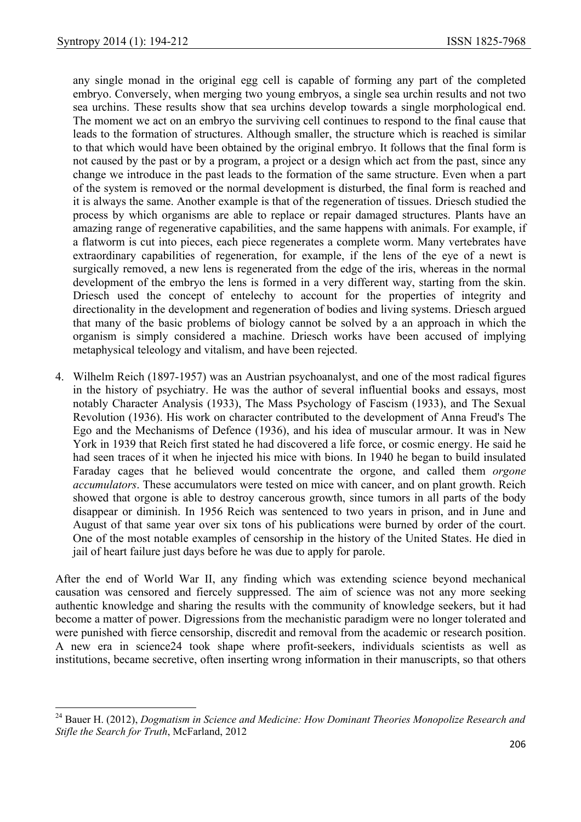$\overline{\phantom{a}}$ 

any single monad in the original egg cell is capable of forming any part of the completed embryo. Conversely, when merging two young embryos, a single sea urchin results and not two sea urchins. These results show that sea urchins develop towards a single morphological end. The moment we act on an embryo the surviving cell continues to respond to the final cause that leads to the formation of structures. Although smaller, the structure which is reached is similar to that which would have been obtained by the original embryo. It follows that the final form is not caused by the past or by a program, a project or a design which act from the past, since any change we introduce in the past leads to the formation of the same structure. Even when a part of the system is removed or the normal development is disturbed, the final form is reached and it is always the same. Another example is that of the regeneration of tissues. Driesch studied the process by which organisms are able to replace or repair damaged structures. Plants have an amazing range of regenerative capabilities, and the same happens with animals. For example, if a flatworm is cut into pieces, each piece regenerates a complete worm. Many vertebrates have extraordinary capabilities of regeneration, for example, if the lens of the eye of a newt is surgically removed, a new lens is regenerated from the edge of the iris, whereas in the normal development of the embryo the lens is formed in a very different way, starting from the skin. Driesch used the concept of entelechy to account for the properties of integrity and directionality in the development and regeneration of bodies and living systems. Driesch argued that many of the basic problems of biology cannot be solved by a an approach in which the organism is simply considered a machine. Driesch works have been accused of implying metaphysical teleology and vitalism, and have been rejected.

4. Wilhelm Reich (1897-1957) was an Austrian psychoanalyst, and one of the most radical figures in the history of psychiatry. He was the author of several influential books and essays, most notably Character Analysis (1933), The Mass Psychology of Fascism (1933), and The Sexual Revolution (1936). His work on character contributed to the development of Anna Freud's The Ego and the Mechanisms of Defence (1936), and his idea of muscular armour. It was in New York in 1939 that Reich first stated he had discovered a life force, or cosmic energy. He said he had seen traces of it when he injected his mice with bions. In 1940 he began to build insulated Faraday cages that he believed would concentrate the orgone, and called them *orgone accumulators*. These accumulators were tested on mice with cancer, and on plant growth. Reich showed that orgone is able to destroy cancerous growth, since tumors in all parts of the body disappear or diminish. In 1956 Reich was sentenced to two years in prison, and in June and August of that same year over six tons of his publications were burned by order of the court. One of the most notable examples of censorship in the history of the United States. He died in jail of heart failure just days before he was due to apply for parole.

After the end of World War II, any finding which was extending science beyond mechanical causation was censored and fiercely suppressed. The aim of science was not any more seeking authentic knowledge and sharing the results with the community of knowledge seekers, but it had become a matter of power. Digressions from the mechanistic paradigm were no longer tolerated and were punished with fierce censorship, discredit and removal from the academic or research position. A new era in science24 took shape where profit-seekers, individuals scientists as well as institutions, became secretive, often inserting wrong information in their manuscripts, so that others

<sup>24</sup> Bauer H. (2012), *Dogmatism in Science and Medicine: How Dominant Theories Monopolize Research and Stifle the Search for Truth*, McFarland, 2012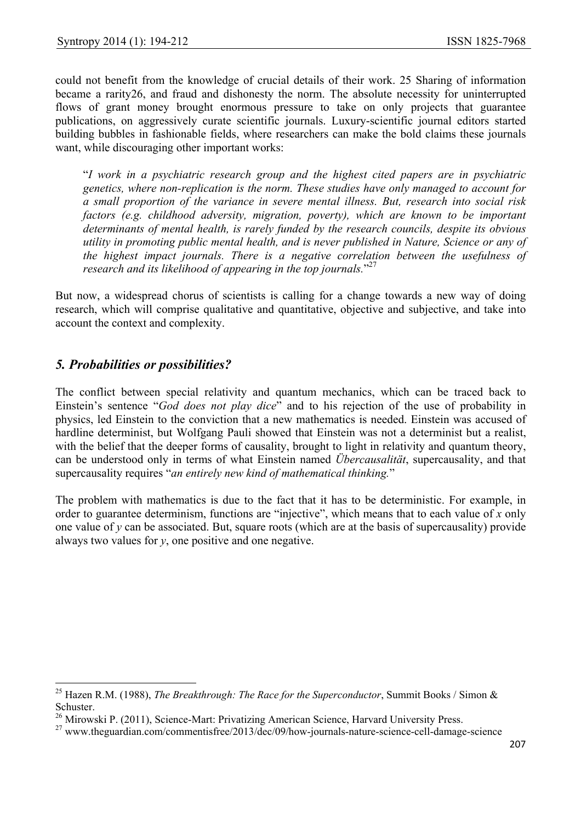could not benefit from the knowledge of crucial details of their work. 25 Sharing of information became a rarity26, and fraud and dishonesty the norm. The absolute necessity for uninterrupted flows of grant money brought enormous pressure to take on only projects that guarantee publications, on aggressively curate scientific journals. Luxury-scientific journal editors started building bubbles in fashionable fields, where researchers can make the bold claims these journals want, while discouraging other important works:

"*I work in a psychiatric research group and the highest cited papers are in psychiatric genetics, where non-replication is the norm. These studies have only managed to account for a small proportion of the variance in severe mental illness. But, research into social risk factors (e.g. childhood adversity, migration, poverty), which are known to be important determinants of mental health, is rarely funded by the research councils, despite its obvious utility in promoting public mental health, and is never published in Nature, Science or any of the highest impact journals. There is a negative correlation between the usefulness of research and its likelihood of appearing in the top journals.*" 27

But now, a widespread chorus of scientists is calling for a change towards a new way of doing research, which will comprise qualitative and quantitative, objective and subjective, and take into account the context and complexity.

## *5. Probabilities or possibilities?*

 $\overline{a}$ 

The conflict between special relativity and quantum mechanics, which can be traced back to Einstein's sentence "*God does not play dice*" and to his rejection of the use of probability in physics, led Einstein to the conviction that a new mathematics is needed. Einstein was accused of hardline determinist, but Wolfgang Pauli showed that Einstein was not a determinist but a realist, with the belief that the deeper forms of causality, brought to light in relativity and quantum theory, can be understood only in terms of what Einstein named *Übercausalität*, supercausality, and that supercausality requires "*an entirely new kind of mathematical thinking.*"

The problem with mathematics is due to the fact that it has to be deterministic. For example, in order to guarantee determinism, functions are "injective", which means that to each value of *x* only one value of *y* can be associated. But, square roots (which are at the basis of supercausality) provide always two values for *y*, one positive and one negative.

<sup>25</sup> Hazen R.M. (1988), *The Breakthrough: The Race for the Superconductor*, Summit Books / Simon & Schuster.

<sup>&</sup>lt;sup>26</sup> Mirowski P. (2011), Science-Mart: Privatizing American Science, Harvard University Press.

<sup>&</sup>lt;sup>27</sup> www.theguardian.com/commentisfree/2013/dec/09/how-journals-nature-science-cell-damage-science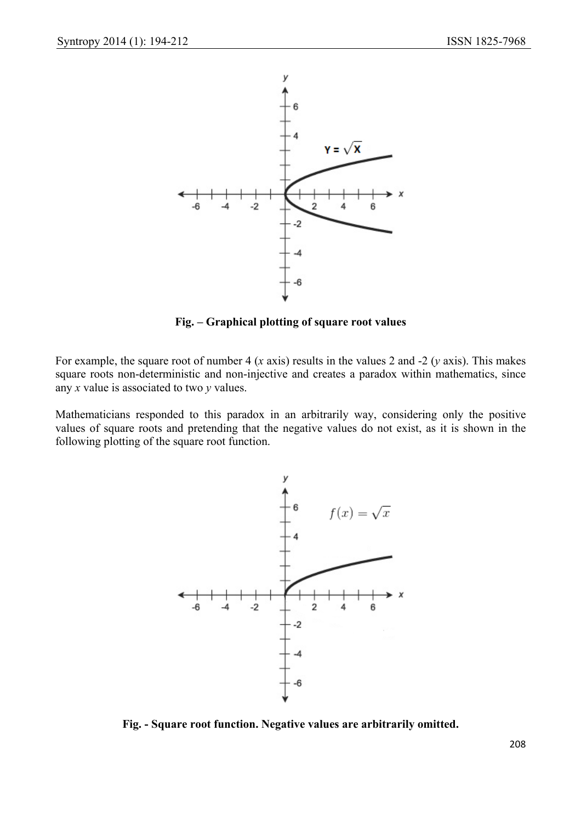

**Fig. – Graphical plotting of square root values** 

For example, the square root of number 4 (*x* axis) results in the values 2 and -2 (*y* axis). This makes square roots non-deterministic and non-injective and creates a paradox within mathematics, since any *x* value is associated to two *y* values.

Mathematicians responded to this paradox in an arbitrarily way, considering only the positive values of square roots and pretending that the negative values do not exist, as it is shown in the following plotting of the square root function.



**Fig. - Square root function. Negative values are arbitrarily omitted.**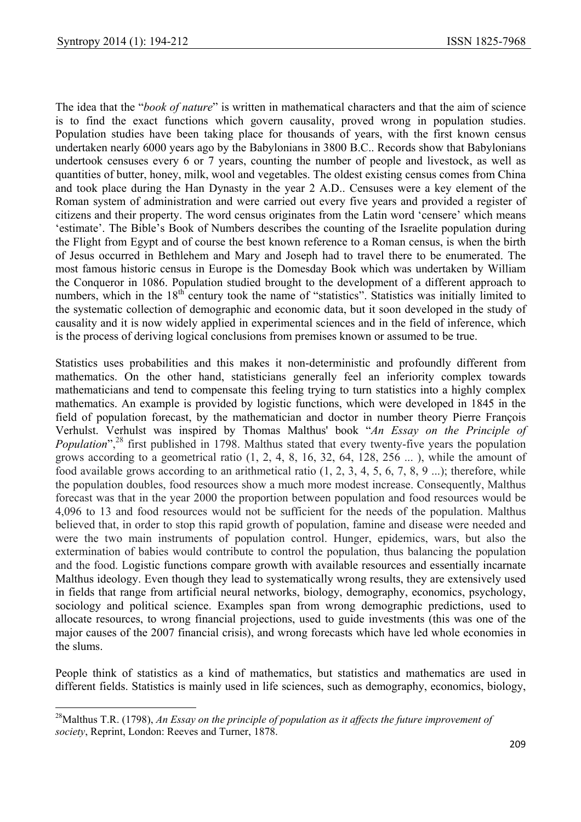$\overline{\phantom{a}}$ 

The idea that the "*book of nature*" is written in mathematical characters and that the aim of science is to find the exact functions which govern causality, proved wrong in population studies. Population studies have been taking place for thousands of years, with the first known census undertaken nearly 6000 years ago by the Babylonians in 3800 B.C.. Records show that Babylonians undertook censuses every 6 or 7 years, counting the number of people and livestock, as well as quantities of butter, honey, milk, wool and vegetables. The oldest existing census comes from China and took place during the Han Dynasty in the year 2 A.D.. Censuses were a key element of the Roman system of administration and were carried out every five years and provided a register of citizens and their property. The word census originates from the Latin word 'censere' which means 'estimate'. The Bible's Book of Numbers describes the counting of the Israelite population during the Flight from Egypt and of course the best known reference to a Roman census, is when the birth of Jesus occurred in Bethlehem and Mary and Joseph had to travel there to be enumerated. The most famous historic census in Europe is the Domesday Book which was undertaken by William the Conqueror in 1086. Population studied brought to the development of a different approach to numbers, which in the 18<sup>th</sup> century took the name of "statistics". Statistics was initially limited to the systematic collection of demographic and economic data, but it soon developed in the study of causality and it is now widely applied in experimental sciences and in the field of inference, which is the process of deriving logical conclusions from premises known or assumed to be true.

Statistics uses probabilities and this makes it non-deterministic and profoundly different from mathematics. On the other hand, statisticians generally feel an inferiority complex towards mathematicians and tend to compensate this feeling trying to turn statistics into a highly complex mathematics. An example is provided by logistic functions, which were developed in 1845 in the field of population forecast, by the mathematician and doctor in number theory Pierre François Verhulst. Verhulst was inspired by Thomas Malthus' book "*An Essay on the Principle of Population*", 28 first published in 1798. Malthus stated that every twenty-five years the population grows according to a geometrical ratio  $(1, 2, 4, 8, 16, 32, 64, 128, 256 \dots)$ , while the amount of food available grows according to an arithmetical ratio (1, 2, 3, 4, 5, 6, 7, 8, 9 ...); therefore, while the population doubles, food resources show a much more modest increase. Consequently, Malthus forecast was that in the year 2000 the proportion between population and food resources would be 4,096 to 13 and food resources would not be sufficient for the needs of the population. Malthus believed that, in order to stop this rapid growth of population, famine and disease were needed and were the two main instruments of population control. Hunger, epidemics, wars, but also the extermination of babies would contribute to control the population, thus balancing the population and the food. Logistic functions compare growth with available resources and essentially incarnate Malthus ideology. Even though they lead to systematically wrong results, they are extensively used in fields that range from artificial neural networks, biology, demography, economics, psychology, sociology and political science. Examples span from wrong demographic predictions, used to allocate resources, to wrong financial projections, used to guide investments (this was one of the major causes of the 2007 financial crisis), and wrong forecasts which have led whole economies in the slums.

People think of statistics as a kind of mathematics, but statistics and mathematics are used in different fields. Statistics is mainly used in life sciences, such as demography, economics, biology,

<sup>&</sup>lt;sup>28</sup>Malthus T.R. (1798), *An Essay on the principle of population as it affects the future improvement of society*, Reprint, London: Reeves and Turner, 1878.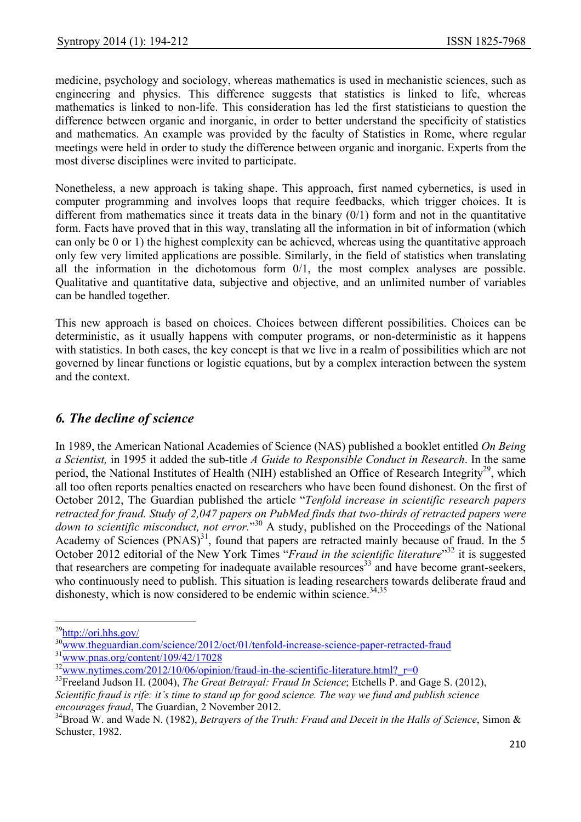medicine, psychology and sociology, whereas mathematics is used in mechanistic sciences, such as engineering and physics. This difference suggests that statistics is linked to life, whereas mathematics is linked to non-life. This consideration has led the first statisticians to question the difference between organic and inorganic, in order to better understand the specificity of statistics and mathematics. An example was provided by the faculty of Statistics in Rome, where regular meetings were held in order to study the difference between organic and inorganic. Experts from the most diverse disciplines were invited to participate.

Nonetheless, a new approach is taking shape. This approach, first named cybernetics, is used in computer programming and involves loops that require feedbacks, which trigger choices. It is different from mathematics since it treats data in the binary  $(0/1)$  form and not in the quantitative form. Facts have proved that in this way, translating all the information in bit of information (which can only be 0 or 1) the highest complexity can be achieved, whereas using the quantitative approach only few very limited applications are possible. Similarly, in the field of statistics when translating all the information in the dichotomous form 0/1, the most complex analyses are possible. Qualitative and quantitative data, subjective and objective, and an unlimited number of variables can be handled together.

This new approach is based on choices. Choices between different possibilities. Choices can be deterministic, as it usually happens with computer programs, or non-deterministic as it happens with statistics. In both cases, the key concept is that we live in a realm of possibilities which are not governed by linear functions or logistic equations, but by a complex interaction between the system and the context.

# *6. The decline of science*

In 1989, the American National Academies of Science (NAS) published a booklet entitled *On Being a Scientist,* in 1995 it added the sub-title *A Guide to Responsible Conduct in Research*. In the same period, the National Institutes of Health (NIH) established an Office of Research Integrity<sup>29</sup>, which all too often reports penalties enacted on researchers who have been found dishonest. On the first of October 2012, The Guardian published the article "*Tenfold increase in scientific research papers retracted for fraud. Study of 2,047 papers on PubMed finds that two-thirds of retracted papers were down to scientific misconduct, not error.*" 30 A study, published on the Proceedings of the National Academy of Sciences  $(PNAS)^{31}$ , found that papers are retracted mainly because of fraud. In the 5 October 2012 editorial of the New York Times "*Fraud in the scientific literature*"<sup>32</sup> it is suggested that researchers are competing for inadequate available resources<sup>33</sup> and have become grant-seekers, who continuously need to publish. This situation is leading researchers towards deliberate fraud and dishonesty, which is now considered to be endemic within science.  $34,35$ 

 $\overline{a}$ 

 $\frac{\frac{29 \text{http://ori.hhs.gov/}}{30 \text{www.theguardian.com/science/2012/oct/01/tenfold-increase-science-paper-retracted-fraud}}{\frac{31 \text{www.theguardian.com/science/2012/oct/01/tenfold-increase-science-paper-retracted-fraud}}{\frac{32 \text{www.nytimes.org/content/109/42/17028}}}}$ 

*Scientific fraud is rife: it's time to stand up for good science. The way we fund and publish science encourages fraud*, The Guardian, 2 November 2012.

<sup>34</sup>Broad W. and Wade N. (1982), *Betrayers of the Truth: Fraud and Deceit in the Halls of Science*, Simon & Schuster, 1982.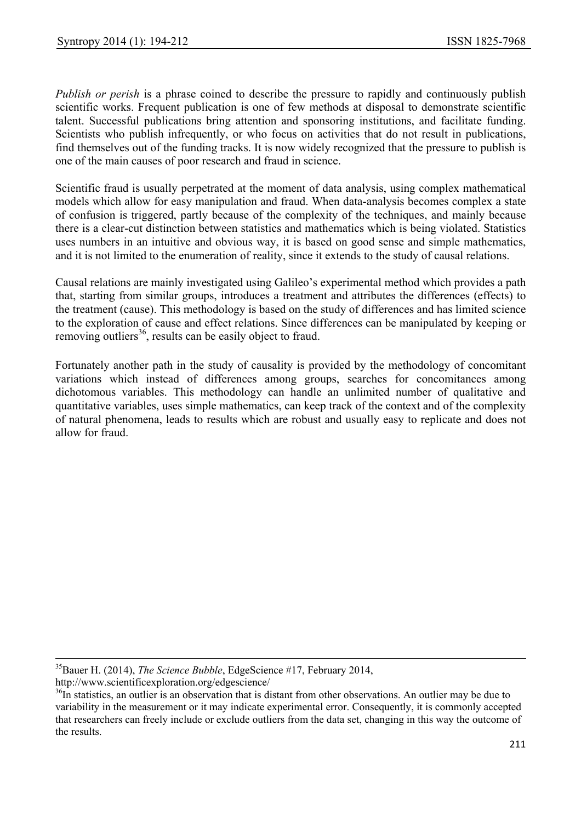*Publish or perish* is a phrase coined to describe the pressure to rapidly and continuously publish scientific works. Frequent publication is one of few methods at disposal to demonstrate scientific talent. Successful publications bring attention and sponsoring institutions, and facilitate funding. Scientists who publish infrequently, or who focus on activities that do not result in publications, find themselves out of the funding tracks. It is now widely recognized that the pressure to publish is one of the main causes of poor research and fraud in science.

Scientific fraud is usually perpetrated at the moment of data analysis, using complex mathematical models which allow for easy manipulation and fraud. When data-analysis becomes complex a state of confusion is triggered, partly because of the complexity of the techniques, and mainly because there is a clear-cut distinction between statistics and mathematics which is being violated. Statistics uses numbers in an intuitive and obvious way, it is based on good sense and simple mathematics, and it is not limited to the enumeration of reality, since it extends to the study of causal relations.

Causal relations are mainly investigated using Galileo's experimental method which provides a path that, starting from similar groups, introduces a treatment and attributes the differences (effects) to the treatment (cause). This methodology is based on the study of differences and has limited science to the exploration of cause and effect relations. Since differences can be manipulated by keeping or removing outliers<sup>36</sup>, results can be easily object to fraud.

Fortunately another path in the study of causality is provided by the methodology of concomitant variations which instead of differences among groups, searches for concomitances among dichotomous variables. This methodology can handle an unlimited number of qualitative and quantitative variables, uses simple mathematics, can keep track of the context and of the complexity of natural phenomena, leads to results which are robust and usually easy to replicate and does not allow for fraud.

35Bauer H. (2014), *The Science Bubble*, EdgeScience #17, February 2014,

http://www.scientificexploration.org/edgescience/

 $36$ In statistics, an outlier is an observation that is distant from other observations. An outlier may be due to variability in the measurement or it may indicate experimental error. Consequently, it is commonly accepted that researchers can freely include or exclude outliers from the data set, changing in this way the outcome of the results.